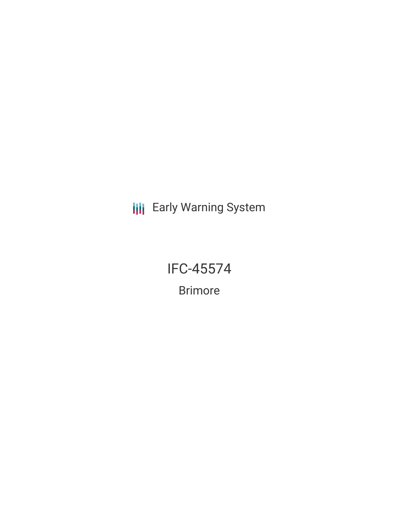**III** Early Warning System

IFC-45574 Brimore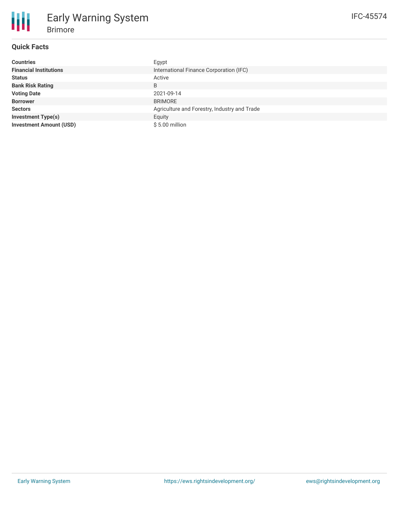## **Quick Facts**

Brimore

Early Warning System

| <b>Countries</b>               | Egypt                                        |
|--------------------------------|----------------------------------------------|
| <b>Financial Institutions</b>  | International Finance Corporation (IFC)      |
| <b>Status</b>                  | Active                                       |
| <b>Bank Risk Rating</b>        | B                                            |
| <b>Voting Date</b>             | 2021-09-14                                   |
| <b>Borrower</b>                | <b>BRIMORE</b>                               |
| <b>Sectors</b>                 | Agriculture and Forestry, Industry and Trade |
| <b>Investment Type(s)</b>      | Equity                                       |
| <b>Investment Amount (USD)</b> | $$5.00$ million                              |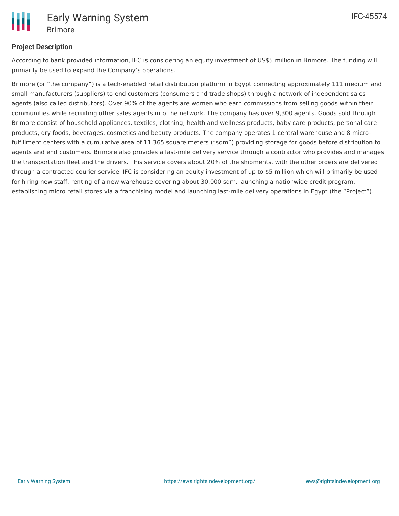

# **Project Description**

According to bank provided information, IFC is considering an equity investment of US\$5 million in Brimore. The funding will primarily be used to expand the Company's operations.

Brimore (or "the company") is a tech-enabled retail distribution platform in Egypt connecting approximately 111 medium and small manufacturers (suppliers) to end customers (consumers and trade shops) through a network of independent sales agents (also called distributors). Over 90% of the agents are women who earn commissions from selling goods within their communities while recruiting other sales agents into the network. The company has over 9,300 agents. Goods sold through Brimore consist of household appliances, textiles, clothing, health and wellness products, baby care products, personal care products, dry foods, beverages, cosmetics and beauty products. The company operates 1 central warehouse and 8 microfulfillment centers with a cumulative area of 11,365 square meters ("sqm") providing storage for goods before distribution to agents and end customers. Brimore also provides a last-mile delivery service through a contractor who provides and manages the transportation fleet and the drivers. This service covers about 20% of the shipments, with the other orders are delivered through a contracted courier service. IFC is considering an equity investment of up to \$5 million which will primarily be used for hiring new staff, renting of a new warehouse covering about 30,000 sqm, launching a nationwide credit program, establishing micro retail stores via a franchising model and launching last-mile delivery operations in Egypt (the "Project").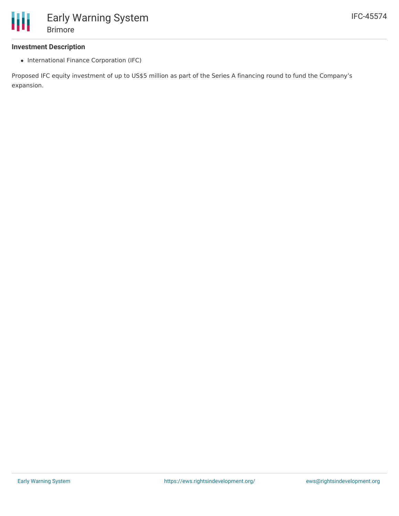## **Investment Description**

• International Finance Corporation (IFC)

Proposed IFC equity investment of up to US\$5 million as part of the Series A financing round to fund the Company's expansion.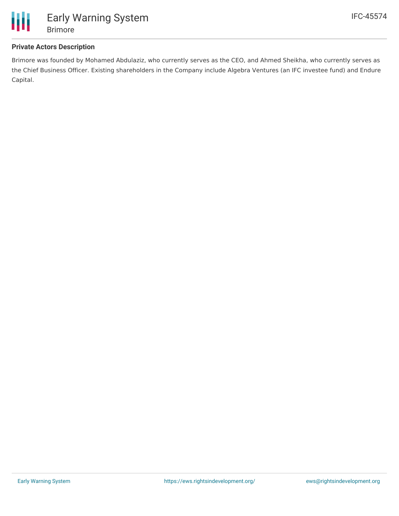

### **Private Actors Description**

Brimore was founded by Mohamed Abdulaziz, who currently serves as the CEO, and Ahmed Sheikha, who currently serves as the Chief Business Officer. Existing shareholders in the Company include Algebra Ventures (an IFC investee fund) and Endure Capital.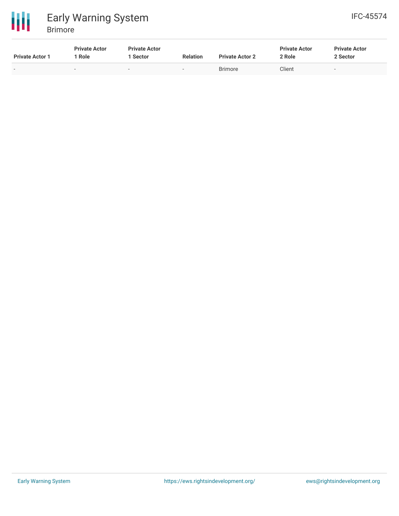



| <b>Private Actor 1</b>   | <b>Private Actor</b><br>Role | <b>Private Actor</b><br>Sector | <b>Relation</b>          | <b>Private Actor 2</b> | <b>Private Actor</b><br>2 Role | <b>Private Actor</b><br>2 Sector |
|--------------------------|------------------------------|--------------------------------|--------------------------|------------------------|--------------------------------|----------------------------------|
| $\overline{\phantom{0}}$ | $\overline{\phantom{a}}$     | $\overline{\phantom{0}}$       | $\overline{\phantom{0}}$ | <b>Brimore</b>         | Client                         | $\overline{\phantom{a}}$         |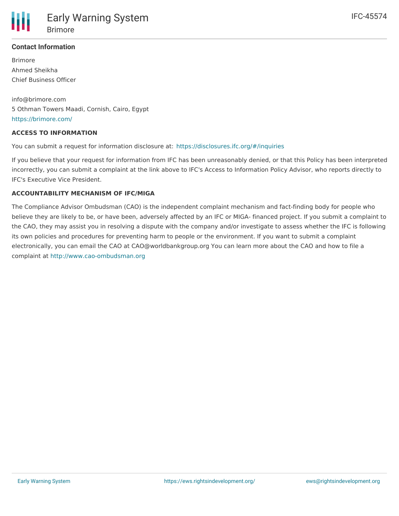

### **Contact Information**

Brimore Ahmed Sheikha Chief Business Officer

info@brimore.com 5 Othman Towers Maadi, Cornish, Cairo, Egypt <https://brimore.com/>

#### **ACCESS TO INFORMATION**

You can submit a request for information disclosure at: <https://disclosures.ifc.org/#/inquiries>

If you believe that your request for information from IFC has been unreasonably denied, or that this Policy has been interpreted incorrectly, you can submit a complaint at the link above to IFC's Access to Information Policy Advisor, who reports directly to IFC's Executive Vice President.

#### **ACCOUNTABILITY MECHANISM OF IFC/MIGA**

The Compliance Advisor Ombudsman (CAO) is the independent complaint mechanism and fact-finding body for people who believe they are likely to be, or have been, adversely affected by an IFC or MIGA- financed project. If you submit a complaint to the CAO, they may assist you in resolving a dispute with the company and/or investigate to assess whether the IFC is following its own policies and procedures for preventing harm to people or the environment. If you want to submit a complaint electronically, you can email the CAO at CAO@worldbankgroup.org You can learn more about the CAO and how to file a complaint at <http://www.cao-ombudsman.org>